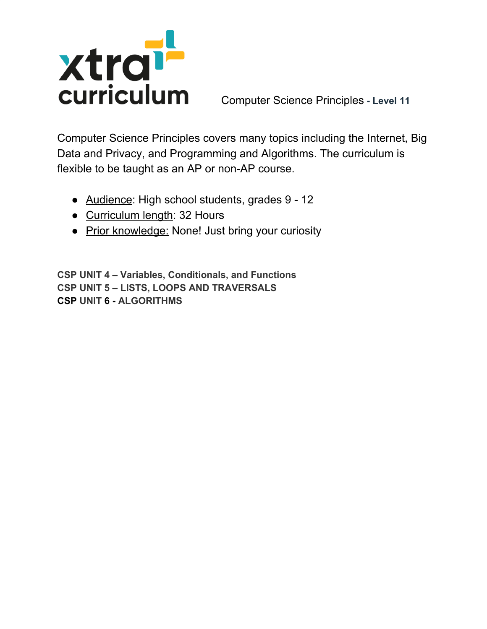

Computer Science Principles **- Level 11**

Computer Science Principles covers many topics including the Internet, Big Data and Privacy, and Programming and Algorithms. The curriculum is flexible to be taught as an AP or non-AP course.

- Audience: High school students, grades 9 12
- Curriculum length: 32 Hours
- Prior knowledge: None! Just bring your curiosity

**CSP UNIT 4 – Variables, Conditionals, and Functions CSP UNIT 5 – LISTS, LOOPS AND TRAVERSALS CSP UNIT 6 - ALGORITHMS**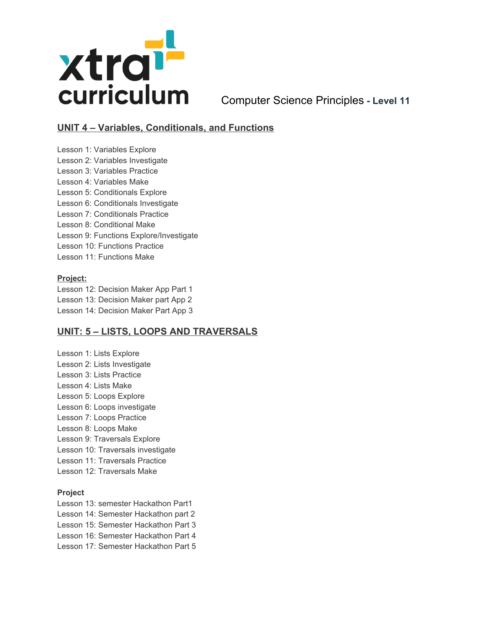

Computer Science Principles **- Level 11**

# **UNIT 4 – Variables, Conditionals, and Functions**

Lesson 1: Variables Explore Lesson 2: Variables Investigate Lesson 3: Variables Practice Lesson 4: Variables Make Lesson 5: Conditionals Explore Lesson 6: Conditionals Investigate Lesson 7: Conditionals Practice Lesson 8: Conditional Make Lesson 9: Functions Explore/Investigate Lesson 10: Functions Practice Lesson 11: Functions Make

#### **Project:**

Lesson 12: Decision Maker App Part 1 Lesson 13: Decision Maker part App 2 Lesson 14: Decision Maker Part App 3

### **UNIT: 5 – LISTS, LOOPS AND TRAVERSALS**

Lesson 1: Lists Explore Lesson 2: Lists Investigate Lesson 3: Lists Practice Lesson 4: Lists Make Lesson 5: Loops Explore Lesson 6: Loops investigate Lesson 7: Loops Practice Lesson 8: Loops Make Lesson 9: Traversals Explore Lesson 10: Traversals investigate Lesson 11: Traversals Practice Lesson 12: Traversals Make

#### **Project**

Lesson 13: semester Hackathon Part1 Lesson 14: Semester Hackathon part 2 Lesson 15: Semester Hackathon Part 3 Lesson 16: Semester Hackathon Part 4 Lesson 17: Semester Hackathon Part 5